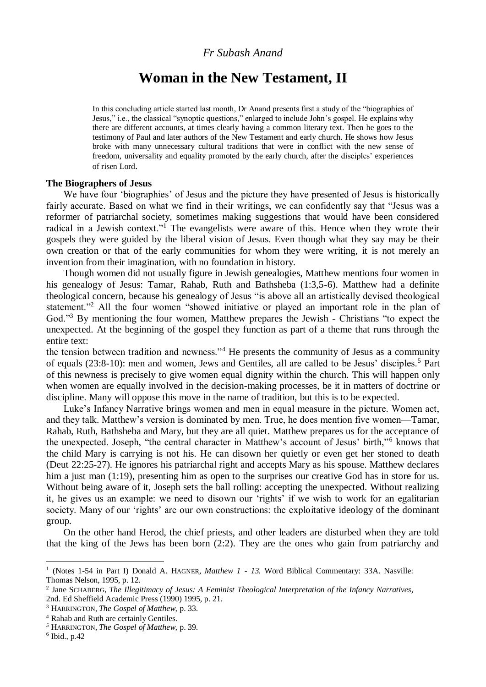### *Fr Subash Anand*

# **Woman in the New Testament, II**

In this concluding article started last month, Dr Anand presents first a study of the "biographies of Jesus," i.e., the classical "synoptic questions," enlarged to include John's gospel. He explains why there are different accounts, at times clearly having a common literary text. Then he goes to the testimony of Paul and later authors of the New Testament and early church. He shows how Jesus broke with many unnecessary cultural traditions that were in conflict with the new sense of freedom, universality and equality promoted by the early church, after the disciples' experiences of risen Lord.

#### **The Biographers of Jesus**

We have four 'biographies' of Jesus and the picture they have presented of Jesus is historically fairly accurate. Based on what we find in their writings, we can confidently say that "Jesus was a reformer of patriarchal society, sometimes making suggestions that would have been considered radical in a Jewish context."<sup>1</sup> The evangelists were aware of this. Hence when they wrote their gospels they were guided by the liberal vision of Jesus. Even though what they say may be their own creation or that of the early communities for whom they were writing, it is not merely an invention from their imagination, with no foundation in history.

Though women did not usually figure in Jewish genealogies, Matthew mentions four women in his genealogy of Jesus: Tamar, Rahab, Ruth and Bathsheba (1:3,5-6). Matthew had a definite theological concern, because his genealogy of Jesus "is above all an artistically devised theological statement."<sup>2</sup> All the four women "showed initiative or played an important role in the plan of God."<sup>3</sup> By mentioning the four women, Matthew prepares the Jewish - Christians "to expect the unexpected. At the beginning of the gospel they function as part of a theme that runs through the entire text:

the tension between tradition and newness."<sup>4</sup> He presents the community of Jesus as a community of equals (23:8-10): men and women, Jews and Gentiles, all are called to be Jesus' disciples.<sup>5</sup> Part of this newness is precisely to give women equal dignity within the church. This will happen only when women are equally involved in the decision-making processes, be it in matters of doctrine or discipline. Many will oppose this move in the name of tradition, but this is to be expected.

Luke's Infancy Narrative brings women and men in equal measure in the picture. Women act, and they talk. Matthew's version is dominated by men. True, he does mention five women—Tamar, Rahab, Ruth, Bathsheba and Mary, but they are all quiet. Matthew prepares us for the acceptance of the unexpected. Joseph, "the central character in Matthew's account of Jesus' birth,"<sup>6</sup> knows that the child Mary is carrying is not his. He can disown her quietly or even get her stoned to death (Deut 22:25-27). He ignores his patriarchal right and accepts Mary as his spouse. Matthew declares him a just man (1:19), presenting him as open to the surprises our creative God has in store for us. Without being aware of it, Joseph sets the ball rolling: accepting the unexpected. Without realizing it, he gives us an example: we need to disown our 'rights' if we wish to work for an egalitarian society. Many of our 'rights' are our own constructions: the exploitative ideology of the dominant group.

On the other hand Herod, the chief priests, and other leaders are disturbed when they are told that the king of the Jews has been born (2:2). They are the ones who gain from patriarchy and

<sup>&</sup>lt;sup>1</sup> (Notes 1-54 in Part I) Donald A. HAGNER, *Matthew 1 - 13*. Word Biblical Commentary: 33A. Nasville: Thomas Nelson, 1995, p. 12.

<sup>2</sup> Jane SCHABERG, *The Illegitimacy of Jesus: A Feminist Theological Interpretation of the Infancy Narratives,* 2nd. Ed Sheffield Academic Press (1990) 1995, p. 21.

<sup>3</sup> HARRINGTON, *The Gospel of Matthew,* p. 33.

<sup>4</sup> Rahab and Ruth are certainly Gentiles.

*<sup>5</sup>* HARRINGTON, *The Gospel of Matthew,* p. 39.

<sup>6</sup> Ibid., p.42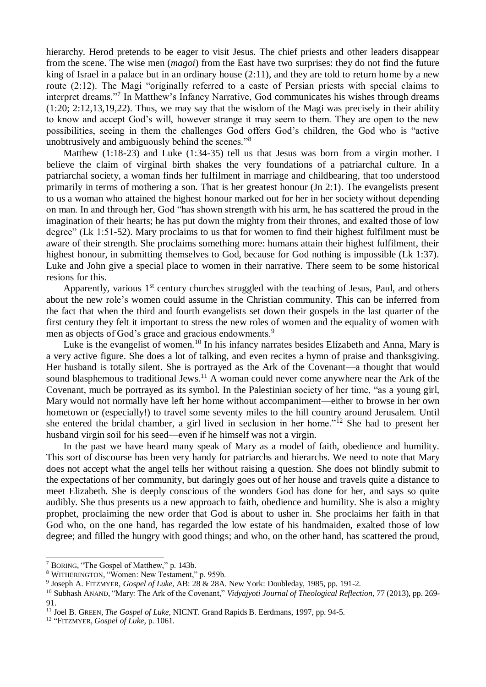hierarchy. Herod pretends to be eager to visit Jesus. The chief priests and other leaders disappear from the scene. The wise men (*magoi*) from the East have two surprises: they do not find the future king of Israel in a palace but in an ordinary house (2:11), and they are told to return home by a new route (2:12). The Magi "originally referred to a caste of Persian priests with special claims to interpret dreams."<sup>7</sup> In Matthew's Infancy Narrative, God communicates his wishes through dreams (1:20; 2:12,13,19,22). Thus, we may say that the wisdom of the Magi was precisely in their ability to know and accept God's will, however strange it may seem to them. They are open to the new possibilities, seeing in them the challenges God offers God's children, the God who is "active unobtrusively and ambiguously behind the scenes."<sup>8</sup>

Matthew (1:18-23) and Luke (1:34-35) tell us that Jesus was born from a virgin mother. I believe the claim of virginal birth shakes the very foundations of a patriarchal culture. In a patriarchal society, a woman finds her fulfilment in marriage and childbearing, that too understood primarily in terms of mothering a son. That is her greatest honour (Jn 2:1). The evangelists present to us a woman who attained the highest honour marked out for her in her society without depending on man. In and through her, God "has shown strength with his arm, he has scattered the proud in the imagination of their hearts; he has put down the mighty from their thrones, and exalted those of low degree" (Lk 1:51-52). Mary proclaims to us that for women to find their highest fulfilment must be aware of their strength. She proclaims something more: humans attain their highest fulfilment, their highest honour, in submitting themselves to God, because for God nothing is impossible (Lk 1:37). Luke and John give a special place to women in their narrative. There seem to be some historical resions for this.

Apparently, various  $1<sup>st</sup>$  century churches struggled with the teaching of Jesus, Paul, and others about the new role's women could assume in the Christian community. This can be inferred from the fact that when the third and fourth evangelists set down their gospels in the last quarter of the first century they felt it important to stress the new roles of women and the equality of women with men as objects of God's grace and gracious endowments.<sup>9</sup>

Luke is the evangelist of women.<sup>10</sup> In his infancy narrates besides Elizabeth and Anna, Mary is a very active figure. She does a lot of talking, and even recites a hymn of praise and thanksgiving. Her husband is totally silent. She is portrayed as the Ark of the Covenant—a thought that would sound blasphemous to traditional Jews.<sup>11</sup> A woman could never come anywhere near the Ark of the Covenant, much be portrayed as its symbol. In the Palestinian society of her time, "as a young girl, Mary would not normally have left her home without accompaniment—either to browse in her own hometown or (especially!) to travel some seventy miles to the hill country around Jerusalem. Until she entered the bridal chamber, a girl lived in seclusion in her home."<sup>12</sup> She had to present her husband virgin soil for his seed—even if he himself was not a virgin.

In the past we have heard many speak of Mary as a model of faith, obedience and humility. This sort of discourse has been very handy for patriarchs and hierarchs. We need to note that Mary does not accept what the angel tells her without raising a question. She does not blindly submit to the expectations of her community, but daringly goes out of her house and travels quite a distance to meet Elizabeth. She is deeply conscious of the wonders God has done for her, and says so quite audibly. She thus presents us a new approach to faith, obedience and humility. She is also a mighty prophet, proclaiming the new order that God is about to usher in. She proclaims her faith in that God who, on the one hand, has regarded the low estate of his handmaiden, exalted those of low degree; and filled the hungry with good things; and who, on the other hand, has scattered the proud,

<sup>7</sup> BORING, "The Gospel of Matthew," p. 143b.

<sup>8</sup> WITHERINGTON, "Women: New Testament," p. 959b.

<sup>9</sup> Joseph A. FITZMYER*, Gospel of Luke,* AB: 28 & 28A. New York: Doubleday, 1985, pp. 191-2.

<sup>10</sup> Subhash ANAND, "Mary: The Ark of the Covenant," *Vidyajyoti Journal of Theological Reflection,* 77 (2013), pp. 269- 91.

<sup>11</sup> Joel B. GREEN, *The Gospel of Luke,* NICNT. Grand Rapids B. Eerdmans, 1997, pp. 94-5.

<sup>12</sup> "FITZMYER, *Gospel of Luke,* p. 1061.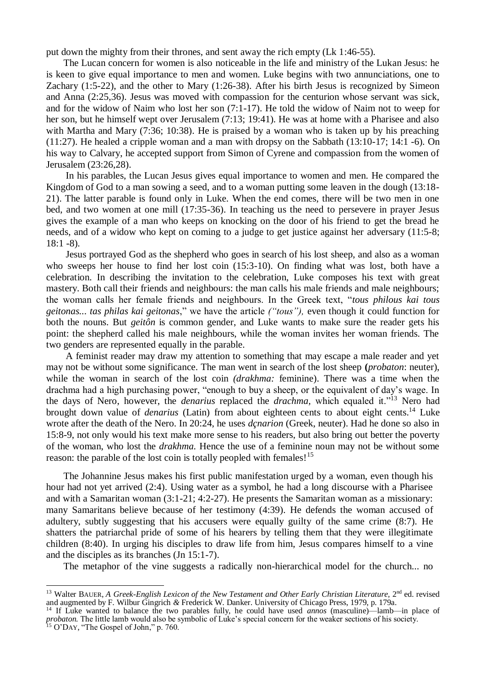put down the mighty from their thrones, and sent away the rich empty (Lk 1:46-55).

The Lucan concern for women is also noticeable in the life and ministry of the Lukan Jesus: he is keen to give equal importance to men and women. Luke begins with two annunciations, one to Zachary (1:5-22), and the other to Mary (1:26-38). After his birth Jesus is recognized by Simeon and Anna (2:25,36). Jesus was moved with compassion for the centurion whose servant was sick, and for the widow of Naim who lost her son (7:1-17). He told the widow of Naim not to weep for her son, but he himself wept over Jerusalem (7:13; 19:41). He was at home with a Pharisee and also with Martha and Mary (7:36; 10:38). He is praised by a woman who is taken up by his preaching (11:27). He healed a cripple woman and a man with dropsy on the Sabbath (13:10-17; 14:1 -6). On his way to Calvary, he accepted support from Simon of Cyrene and compassion from the women of Jerusalem (23:26,28).

In his parables, the Lucan Jesus gives equal importance to women and men. He compared the Kingdom of God to a man sowing a seed, and to a woman putting some leaven in the dough (13:18- 21). The latter parable is found only in Luke. When the end comes, there will be two men in one bed, and two women at one mill (17:35-36). In teaching us the need to persevere in prayer Jesus gives the example of a man who keeps on knocking on the door of his friend to get the bread he needs, and of a widow who kept on coming to a judge to get justice against her adversary (11:5-8; 18:1 -8).

Jesus portrayed God as the shepherd who goes in search of his lost sheep, and also as a woman who sweeps her house to find her lost coin (15:3-10). On finding what was lost, both have a celebration. In describing the invitation to the celebration, Luke composes his text with great mastery. Both call their friends and neighbours: the man calls his male friends and male neighbours; the woman calls her female friends and neighbours. In the Greek text, "*tous philous kai tous geitonas... tas philas kai geitonas*," we have the article *("tous"),* even though it could function for both the nouns. But *geitôn* is common gender, and Luke wants to make sure the reader gets his point: the shepherd called his male neighbours, while the woman invites her woman friends. The two genders are represented equally in the parable.

A feminist reader may draw my attention to something that may escape a male reader and yet may not be without some significance. The man went in search of the lost sheep **(***probaton*: neuter), while the woman in search of the lost coin *(drakhma:* feminine). There was a time when the drachma had a high purchasing power, "enough to buy a sheep, or the equivalent of day's wage. In the days of Nero, however, the *denarius* replaced the *drachma,* which equaled it."<sup>13</sup> Nero had brought down value of *denarius* (Latin) from about eighteen cents to about eight cents.<sup>14</sup> Luke wrote after the death of the Nero. In 20:24, he uses *dçnarion* (Greek, neuter). Had he done so also in 15:8-9, not only would his text make more sense to his readers, but also bring out better the poverty of the woman, who lost the *drakhma.* Hence the use of a feminine noun may not be without some reason: the parable of the lost coin is totally peopled with females!<sup>15</sup>

The Johannine Jesus makes his first public manifestation urged by a woman, even though his hour had not yet arrived (2:4). Using water as a symbol, he had a long discourse with a Pharisee and with a Samaritan woman (3:1-21; 4:2-27). He presents the Samaritan woman as a missionary: many Samaritans believe because of her testimony (4:39). He defends the woman accused of adultery, subtly suggesting that his accusers were equally guilty of the same crime (8:7). He shatters the patriarchal pride of some of his hearers by telling them that they were illegitimate children (8:40). In urging his disciples to draw life from him, Jesus compares himself to a vine and the disciples as its branches (Jn 15:1-7).

The metaphor of the vine suggests a radically non-hierarchical model for the church... no

<sup>&</sup>lt;sup>13</sup> Walter BAUER, A Greek-English Lexicon of the New Testament and Other Early Christian Literature, 2<sup>nd</sup> ed. revised and augmented by F. Wilbur Gingrich *&* Frederick W. Danker. University of Chicago Press, 1979, p. 179a.

<sup>14</sup> If Luke wanted to balance the two parables fully, he could have used *annos* (masculine)—lamb—in place of *probaton.* The little lamb would also be symbolic of Luke's special concern for the weaker sections of his society.  $15$  O'DAY, "The Gospel of John," p. 760.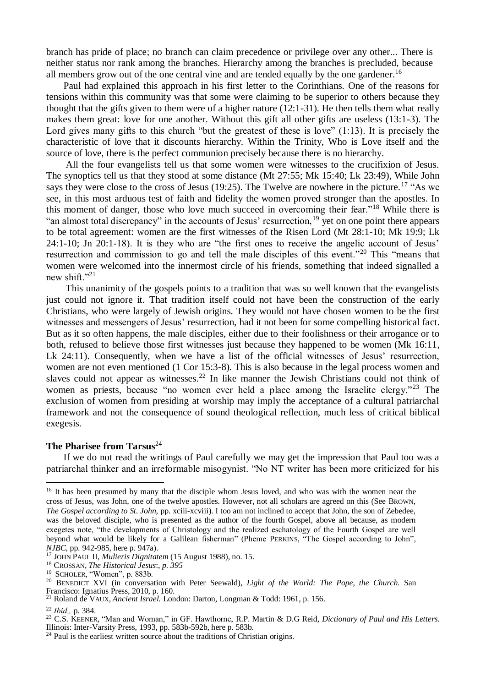branch has pride of place; no branch can claim precedence or privilege over any other... There is neither status nor rank among the branches. Hierarchy among the branches is precluded, because all members grow out of the one central vine and are tended equally by the one gardener.<sup>16</sup>

Paul had explained this approach in his first letter to the Corinthians. One of the reasons for tensions within this community was that some were claiming to be superior to others because they thought that the gifts given to them were of a higher nature (12:1-31). He then tells them what really makes them great: love for one another. Without this gift all other gifts are useless (13:1-3). The Lord gives many gifts to this church "but the greatest of these is love" (1:13). It is precisely the characteristic of love that it discounts hierarchy. Within the Trinity, Who is Love itself and the source of love, there is the perfect communion precisely because there is no hierarchy.

All the four evangelists tell us that some women were witnesses to the crucifixion of Jesus. The synoptics tell us that they stood at some distance (Mt 27:55; Mk 15:40; Lk 23:49), While John says they were close to the cross of Jesus (19:25). The Twelve are nowhere in the picture.<sup>17</sup> "As we see, in this most arduous test of faith and fidelity the women proved stronger than the apostles. In this moment of danger, those who love much succeed in overcoming their fear."<sup>18</sup> While there is "an almost total discrepancy" in the accounts of Jesus' resurrection, <sup>19</sup> yet on one point there appears to be total agreement: women are the first witnesses of the Risen Lord (Mt 28:1-10; Mk 19:9; Lk 24:1-10; Jn 20:1-18). It is they who are "the first ones to receive the angelic account of Jesus' resurrection and commission to go and tell the male disciples of this event."<sup>20</sup> This "means that women were welcomed into the innermost circle of his friends, something that indeed signalled a new shift." $^{21}$ 

This unanimity of the gospels points to a tradition that was so well known that the evangelists just could not ignore it. That tradition itself could not have been the construction of the early Christians, who were largely of Jewish origins. They would not have chosen women to be the first witnesses and messengers of Jesus' resurrection, had it not been for some compelling historical fact. But as it so often happens, the male disciples, either due to their foolishness or their arrogance or to both, refused to believe those first witnesses just because they happened to be women (Mk 16:11, Lk 24:11). Consequently, when we have a list of the official witnesses of Jesus' resurrection, women are not even mentioned (1 Cor 15:3-8). This is also because in the legal process women and slaves could not appear as witnesses.<sup>22</sup> In like manner the Jewish Christians could not think of women as priests, because "no women ever held a place among the Israelite clergy."<sup>23</sup> The exclusion of women from presiding at worship may imply the acceptance of a cultural patriarchal framework and not the consequence of sound theological reflection, much less of critical biblical exegesis.

## **The Pharisee from Tarsus**<sup>24</sup>

If we do not read the writings of Paul carefully we may get the impression that Paul too was a patriarchal thinker and an irreformable misogynist. "No NT writer has been more criticized for his

<u>.</u>

<sup>&</sup>lt;sup>16</sup> It has been presumed by many that the disciple whom Jesus loved, and who was with the women near the cross of Jesus, was John, one of the twelve apostles. However, not all scholars are agreed on this (See BROWN, *The Gospel according to St. John,* pp. xciii-xcviii). I too am not inclined to accept that John, the son of Zebedee, was the beloved disciple, who is presented as the author of the fourth Gospel, above all because, as modern exegetes note, "the developments of Christology and the realized eschatology of the Fourth Gospel are well beyond what would be likely for a Galilean fisherman" (Pheme PERKINS, "The Gospel according to John", *NJBC,* pp. 942-985, here p. 947a).

<sup>17</sup> JOHN PAUL II, *Mulieris Dignitatem* (15 August 1988), no. 15.

<sup>18</sup> CROSSAN, *The Historical Jesus*:, *p. 395*

<sup>&</sup>lt;sup>19</sup> SCHOLER, "Women", p. 883b.

<sup>&</sup>lt;sup>20</sup> BENEDICT XVI (in conversation with Peter Seewald), *Light of the World: The Pope, the Church*. San Francisco: Ignatius Press, 2010, p. 160.

<sup>21</sup> Roland de VAUX, *Ancient Israel.* London: Darton, Longman & Todd: 1961, p. 156.

<sup>&</sup>lt;sup>22</sup> *Ibid.*, p. 384.

<sup>23</sup> C.S. KEENER, "Man and Woman," in GF. Hawthorne, R.P. Martin & D.G Reid, *Dictionary of Paul and His Letters.* Illinois: Inter-Varsity Press, 1993, pp. 583b-592b, here p. 583b.

 $24$  Paul is the earliest written source about the traditions of Christian origins.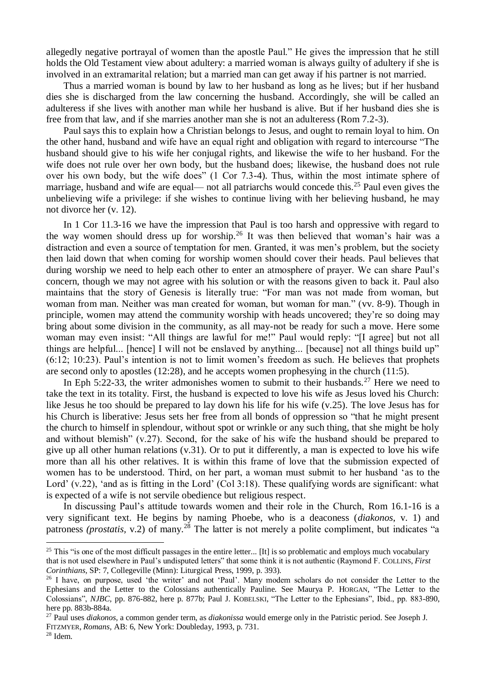allegedly negative portrayal of women than the apostle Paul." He gives the impression that he still holds the Old Testament view about adultery: a married woman is always guilty of adultery if she is involved in an extramarital relation; but a married man can get away if his partner is not married.

Thus a married woman is bound by law to her husband as long as he lives; but if her husband dies she is discharged from the law concerning the husband. Accordingly, she will be called an adulteress if she lives with another man while her husband is alive. But if her husband dies she is free from that law, and if she marries another man she is not an adulteress (Rom 7.2-3).

Paul says this to explain how a Christian belongs to Jesus, and ought to remain loyal to him. On the other hand, husband and wife have an equal right and obligation with regard to intercourse "The husband should give to his wife her conjugal rights, and likewise the wife to her husband. For the wife does not rule over her own body, but the husband does; likewise, the husband does not rule over his own body, but the wife does" (1 Cor 7.3-4). Thus, within the most intimate sphere of marriage, husband and wife are equal— not all patriarchs would concede this.<sup>25</sup> Paul even gives the unbelieving wife a privilege: if she wishes to continue living with her believing husband, he may not divorce her (v. 12).

In 1 Cor 11.3-16 we have the impression that Paul is too harsh and oppressive with regard to the way women should dress up for worship.<sup>26</sup> It was then believed that woman's hair was a distraction and even a source of temptation for men. Granted, it was men's problem, but the society then laid down that when coming for worship women should cover their heads. Paul believes that during worship we need to help each other to enter an atmosphere of prayer. We can share Paul's concern, though we may not agree with his solution or with the reasons given to back it. Paul also maintains that the story of Genesis is literally true: "For man was not made from woman, but woman from man. Neither was man created for woman, but woman for man." (vv. 8-9). Though in principle, women may attend the community worship with heads uncovered; they're so doing may bring about some division in the community, as all may-not be ready for such a move. Here some woman may even insist: "All things are lawful for me!" Paul would reply: "[I agree] but not all things are helpful... [hence] I will not be enslaved by anything... [because] not all things build up" (6:12; 10:23). Paul's intention is not to limit women's freedom as such. He believes that prophets are second only to apostles (12:28), and he accepts women prophesying in the church (11:5).

In Eph 5:22-33, the writer admonishes women to submit to their husbands.<sup>27</sup> Here we need to take the text in its totality. First, the husband is expected to love his wife as Jesus loved his Church: like Jesus he too should be prepared to lay down his life for his wife (v.25). The love Jesus has for his Church is liberative: Jesus sets her free from all bonds of oppression so "that he might present the church to himself in splendour, without spot or wrinkle or any such thing, that she might be holy and without blemish" (v.27). Second, for the sake of his wife the husband should be prepared to give up all other human relations (v.31). Or to put it differently, a man is expected to love his wife more than all his other relatives. It is within this frame of love that the submission expected of women has to be understood. Third, on her part, a woman must submit to her husband 'as to the Lord' (v.22), 'and as is fitting in the Lord' (Col 3:18). These qualifying words are significant: what is expected of a wife is not servile obedience but religious respect.

In discussing Paul's attitude towards women and their role in the Church, Rom 16.1-16 is a very significant text. He begins by naming Phoebe, who is a deaconess (*diakonos*, v. 1) and patroness *(prostatis, v.2)* of many.<sup>28</sup> The latter is not merely a polite compliment, but indicates "a

<u>.</u>

<sup>&</sup>lt;sup>25</sup> This "is one of the most difficult passages in the entire letter... [It] is so problematic and employs much vocabulary that is not used elsewhere in Paul's undisputed letters" that some think it is not authentic (Raymond F. COLLINS, *First Corinthians,* SP: 7, Collegeville (Minn): Liturgical Press, 1999, p. 393).

<sup>&</sup>lt;sup>26</sup> I have, on purpose, used 'the writer' and not 'Paul'. Many modem scholars do not consider the Letter to the Ephesians and the Letter to the Colossians authentically Pauline. See Maurya P. HORGAN, "The Letter to the Colossians", *NJBC,* pp. 876-882, here p. 877b; Paul J. KOBELSKI, "The Letter to the Ephesians", Ibid., pp. 883-890, here pp. 883b-884a.

<sup>27</sup> Paul uses *diakonos,* a common gender term, as *diakonissa* would emerge only in the Patristic period. See Joseph J. FITZMYER, *Romans,* AB: 6, New York: Doubleday, 1993, p. 731.

<sup>28</sup> Idem.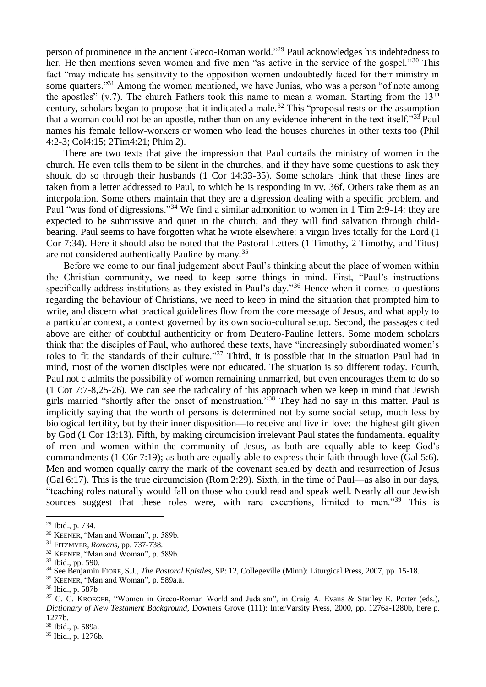person of prominence in the ancient Greco-Roman world."<sup>29</sup> Paul acknowledges his indebtedness to her. He then mentions seven women and five men "as active in the service of the gospel."<sup>30</sup> This fact "may indicate his sensitivity to the opposition women undoubtedly faced for their ministry in some quarters."<sup>31</sup> Among the women mentioned, we have Junias, who was a person "of note among the apostles" (v.7). The church Fathers took this name to mean a woman. Starting from the  $13<sup>th</sup>$ century, scholars began to propose that it indicated a male.<sup>32</sup> This "proposal rests on the assumption that a woman could not be an apostle, rather than on any evidence inherent in the text itself."<sup>33</sup> Paul names his female fellow-workers or women who lead the houses churches in other texts too (Phil 4:2-3; Col4:15; 2Tim4:21; Phlm 2).

There are two texts that give the impression that Paul curtails the ministry of women in the church. He even tells them to be silent in the churches, and if they have some questions to ask they should do so through their husbands (1 Cor 14:33-35). Some scholars think that these lines are taken from a letter addressed to Paul, to which he is responding in vv. 36f. Others take them as an interpolation. Some others maintain that they are a digression dealing with a specific problem, and Paul "was fond of digressions."<sup>34</sup> We find a similar admonition to women in 1 Tim 2:9-14: they are expected to be submissive and quiet in the church; and they will find salvation through childbearing. Paul seems to have forgotten what he wrote elsewhere: a virgin lives totally for the Lord (1 Cor 7:34). Here it should also be noted that the Pastoral Letters (1 Timothy, 2 Timothy, and Titus) are not considered authentically Pauline by many.<sup>35</sup>

Before we come to our final judgement about Paul's thinking about the place of women within the Christian community, we need to keep some things in mind. First, "Paul's instructions specifically address institutions as they existed in Paul's day."<sup>36</sup> Hence when it comes to questions regarding the behaviour of Christians, we need to keep in mind the situation that prompted him to write, and discern what practical guidelines flow from the core message of Jesus, and what apply to a particular context, a context governed by its own socio-cultural setup. Second, the passages cited above are either of doubtful authenticity or from Deutero-Pauline letters. Some modem scholars think that the disciples of Paul, who authored these texts, have "increasingly subordinated women's roles to fit the standards of their culture."<sup>37</sup> Third, it is possible that in the situation Paul had in mind, most of the women disciples were not educated. The situation is so different today. Fourth, Paul not c admits the possibility of women remaining unmarried, but even encourages them to do so (1 Cor 7:7-8,25-26). We can see the radicality of this approach when we keep in mind that Jewish girls married "shortly after the onset of menstruation."<sup>38</sup> They had no say in this matter. Paul is implicitly saying that the worth of persons is determined not by some social setup, much less by biological fertility, but by their inner disposition—to receive and live in love: the highest gift given by God (1 Cor 13:13). Fifth, by making circumcision irrelevant Paul states the fundamental equality of men and women within the community of Jesus, as both are equally able to keep God's commandments (1 C6r 7:19); as both are equally able to express their faith through love (Gal 5:6). Men and women equally carry the mark of the covenant sealed by death and resurrection of Jesus (Gal 6:17). This is the true circumcision (Rom 2:29). Sixth, in the time of Paul—as also in our days, "teaching roles naturally would fall on those who could read and speak well. Nearly all our Jewish sources suggest that these roles were, with rare exceptions, limited to men."<sup>39</sup> This is

<sup>29</sup> Ibid., p. 734.

<sup>30</sup> KEENER, "Man and Woman", p. 589b.

<sup>31</sup> FITZMYER, *Romans,* pp. 737-738.

<sup>&</sup>lt;sup>32</sup> KEENER, "Man and Woman", p. 589b.

<sup>33</sup> Ibid., pp. 590.

<sup>34</sup> See Benjamin FIORE, S.J., *The Pastoral Epistles,* SP: 12, Collegeville (Minn): Liturgical Press, 2007, pp. 15-18.

<sup>&</sup>lt;sup>35</sup> KEENER, "Man and Woman", p. 589a.a.

<sup>36</sup> Ibid., p. 587b

*<sup>37</sup>* C. C. KROEGER, "Women in Greco-Roman World and Judaism", in Craig A. Evans & Stanley E. Porter (eds.), *Dictionary of New Testament Background*, Downers Grove (111): InterVarsity Press, 2000, pp. 1276a-1280b, here p. 1277b.

<sup>38</sup> Ibid., p. 589a.

<sup>39</sup> Ibid., p. 1276b.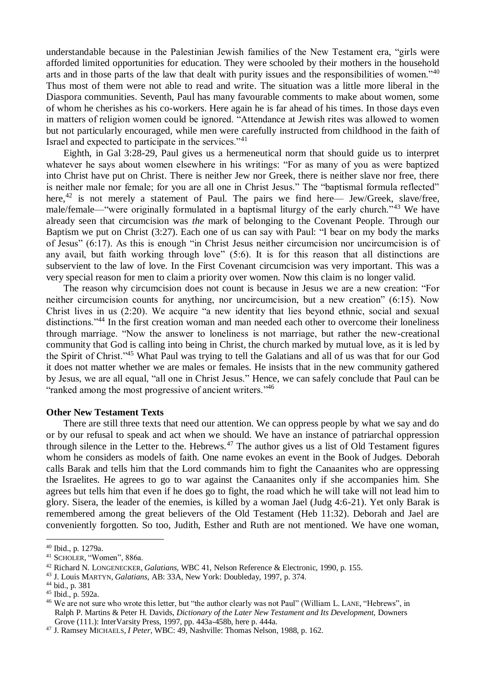understandable because in the Palestinian Jewish families of the New Testament era, "girls were afforded limited opportunities for education. They were schooled by their mothers in the household arts and in those parts of the law that dealt with purity issues and the responsibilities of women."<sup>40</sup> Thus most of them were not able to read and write. The situation was a little more liberal in the Diaspora communities. Seventh, Paul has many favourable comments to make about women, some of whom he cherishes as his co-workers. Here again he is far ahead of his times. In those days even in matters of religion women could be ignored. "Attendance at Jewish rites was allowed to women but not particularly encouraged, while men were carefully instructed from childhood in the faith of Israel and expected to participate in the services."<sup>41</sup>

Eighth, in Gal 3:28-29, Paul gives us a hermeneutical norm that should guide us to interpret whatever he says about women elsewhere in his writings: "For as many of you as were baptized into Christ have put on Christ. There is neither Jew nor Greek, there is neither slave nor free, there is neither male nor female; for you are all one in Christ Jesus." The "baptismal formula reflected" here,<sup>42</sup> is not merely a statement of Paul. The pairs we find here— Jew/Greek, slave/free, male/female—"were originally formulated in a baptismal liturgy of the early church."<sup>43</sup> We have already seen that circumcision was *the* mark of belonging to the Covenant People. Through our Baptism we put on Christ (3:27). Each one of us can say with Paul: "I bear on my body the marks of Jesus" (6:17). As this is enough "in Christ Jesus neither circumcision nor uncircumcision is of any avail, but faith working through love" (5:6). It is for this reason that all distinctions are subservient to the law of love. In the First Covenant circumcision was very important. This was a very special reason for men to claim a priority over women. Now this claim is no longer valid.

The reason why circumcision does not count is because in Jesus we are a new creation: "For neither circumcision counts for anything, nor uncircumcision, but a new creation" (6:15). Now Christ lives in us (2:20). We acquire "a new identity that lies beyond ethnic, social and sexual distinctions."<sup>44</sup> In the first creation woman and man needed each other to overcome their loneliness through marriage. "Now the answer to loneliness is not marriage, but rather the new-creational community that God is calling into being in Christ, the church marked by mutual love, as it is led by the Spirit of Christ."<sup>45</sup> What Paul was trying to tell the Galatians and all of us was that for our God it does not matter whether we are males or females. He insists that in the new community gathered by Jesus, we are all equal, "all one in Christ Jesus." Hence, we can safely conclude that Paul can be "ranked among the most progressive of ancient writers."<sup>46</sup>

#### **Other New Testament Texts**

There are still three texts that need our attention. We can oppress people by what we say and do or by our refusal to speak and act when we should. We have an instance of patriarchal oppression through silence in the Letter to the. Hebrews.<sup>47</sup> The author gives us a list of Old Testament figures whom he considers as models of faith. One name evokes an event in the Book of Judges. Deborah calls Barak and tells him that the Lord commands him to fight the Canaanites who are oppressing the Israelites. He agrees to go to war against the Canaanites only if she accompanies him. She agrees but tells him that even if he does go to fight, the road which he will take will not lead him to glory. Sisera, the leader of the enemies, is killed by a woman Jael (Judg 4:6-21). Yet only Barak is remembered among the great believers of the Old Testament (Heb 11:32). Deborah and Jael are conveniently forgotten. So too, Judith, Esther and Ruth are not mentioned. We have one woman,

<u>.</u>

<sup>40</sup> Ibid., p. 1279a.

<sup>41</sup> SCHOLER, "Women", 886a.

<sup>42</sup> Richard N. LONGENECKER, *Galatians,* WBC 41, Nelson Reference & Electronic, 1990, p. 155.

<sup>43</sup> J. Louis MARTYN, *Galatians,* AB: 33A, New York: Doubleday, 1997, p. 374.

<sup>44</sup> bid., p. 381

<sup>45</sup> Ibid., p. 592a.

<sup>&</sup>lt;sup>46</sup> We are not sure who wrote this letter, but "the author clearly was not Paul" (William L. LANE, "Hebrews", in Ralph P. Martins & Peter H. Davids, *Dictionary of the Later New Testament and Its Development,* Downers Grove (111.): InterVarsity Press, 1997, pp. 443a-458b, here p. 444a.

<sup>47</sup> J. Ramsey MICHAELS, *I Peter,* WBC: 49, Nashville: Thomas Nelson, 1988, p. 162.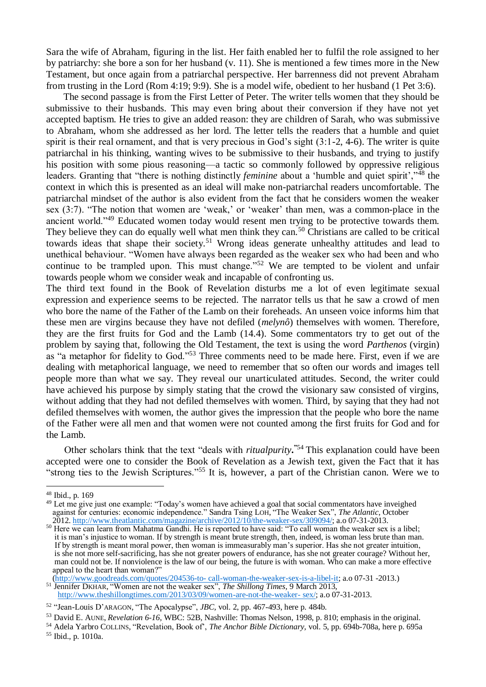Sara the wife of Abraham, figuring in the list. Her faith enabled her to fulfil the role assigned to her by patriarchy: she bore a son for her husband (v. 11). She is mentioned a few times more in the New Testament, but once again from a patriarchal perspective. Her barrenness did not prevent Abraham from trusting in the Lord (Rom 4:19; 9:9). She is a model wife, obedient to her husband (1 Pet 3:6).

The second passage is from the First Letter of Peter. The writer tells women that they should be submissive to their husbands. This may even bring about their conversion if they have not yet accepted baptism. He tries to give an added reason: they are children of Sarah, who was submissive to Abraham, whom she addressed as her lord. The letter tells the readers that a humble and quiet spirit is their real ornament, and that is very precious in God's sight (3:1-2, 4-6). The writer is quite patriarchal in his thinking, wanting wives to be submissive to their husbands, and trying to justify his position with some pious reasoning—a tactic so commonly followed by oppressive religious leaders. Granting that "there is nothing distinctly *feminine* about a 'humble and quiet spirit',"<sup>48</sup> the context in which this is presented as an ideal will make non-patriarchal readers uncomfortable. The patriarchal mindset of the author is also evident from the fact that he considers women the weaker sex (3:7). "The notion that women are 'weak,' or 'weaker' than men, was a common-place in the ancient world."<sup>49</sup> Educated women today would resent men trying to be protective towards them. They believe they can do equally well what men think they can.<sup>50</sup> Christians are called to be critical towards ideas that shape their society.<sup>51</sup> Wrong ideas generate unhealthy attitudes and lead to unethical behaviour. "Women have always been regarded as the weaker sex who had been and who continue to be trampled upon. This must change."<sup>52</sup> We are tempted to be violent and unfair towards people whom we consider weak and incapable of confronting us.

The third text found in the Book of Revelation disturbs me a lot of even legitimate sexual expression and experience seems to be rejected. The narrator tells us that he saw a crowd of men who bore the name of the Father of the Lamb on their foreheads. An unseen voice informs him that these men are virgins because they have not defiled (*melynô*) themselves with women. Therefore, they are the first fruits for God and the Lamb (14.4). Some commentators try to get out of the problem by saying that, following the Old Testament, the text is using the word *Parthenos* (virgin) as "a metaphor for fidelity to God."<sup>53</sup> Three comments need to be made here. First, even if we are dealing with metaphorical language, we need to remember that so often our words and images tell people more than what we say. They reveal our unarticulated attitudes. Second, the writer could have achieved his purpose by simply stating that the crowd the visionary saw consisted of virgins, without adding that they had not defiled themselves with women. Third, by saying that they had not defiled themselves with women, the author gives the impression that the people who bore the name of the Father were all men and that women were not counted among the first fruits for God and for the Lamb.

Other scholars think that the text "deals with *ritualpurity***. "**<sup>54</sup> This explanation could have been accepted were one to consider the Book of Revelation as a Jewish text, given the Fact that it has "strong ties to the Jewish Scriptures."<sup>55</sup> It is, however, a part of the Christian canon. Were we to

1

<sup>51</sup> Jennifer DKHAR, "Women are not the weaker sex", *The Shillong Times,* 9 March 2013, [http://www.theshillongtimes.com/2013/03/09/women-are-not-the-weaker-](http://www.theshillongtimes.com/2013/03/09/women-are-not-the-weaker-%20sex/) sex/; a.o 07-31-2013.

<sup>48</sup> Ibid., p. 169

<sup>&</sup>lt;sup>49</sup> Let me give just one example: "Today's women have achieved a goal that social commentators have inveighed against for centuries: economic independence." Sandra Tsing LOH, "The Weaker Sex", *The Atlantic*, October  $2012.$  [http://www.theatlantic.com/magazine/archive/2012/10/the-weaker-sex/309094/;](http://www.theatlantic.com/magazine/archive/2012/10/the-weaker-sex/309094/) a.o 07-31-2013.

<sup>&</sup>lt;sup>50</sup> Here we can learn from Mahatma Gandhi. He is reported to have said: "To call woman the weaker sex is a libel; it is man's injustice to woman. If by strength is meant brute strength, then, indeed, is woman less brute than man. If by strength is meant moral power, then woman is immeasurably man's superior. Has she not greater intuition, is she not more self-sacrificing, has she not greater powers of endurance, has she not greater courage? Without her, man could not be. If nonviolence is the law of our being, the future is with woman. Who can make a more effective appeal to the heart than woman?"

[\(http://www.goodreads.com/quotes/204536-to-](http://www.goodreads.com/quotes/204536-to-%20call-woman-the-weaker-sex-is-a-libel-it) call-woman-the-weaker-sex-is-a-libel-it; a.o 07-31 -2013.)

<sup>52</sup> "Jean-Louis D'ARAGON, "The Apocalypse", *JBC,* vol. 2, pp. 467-493, here p. 484b.

<sup>53</sup> David E. AUNE, *Revelation 6-16,* WBC: 52B, Nashville: Thomas Nelson, 1998, p. 810; emphasis in the original.

<sup>54</sup> Adela Yarbro COLLINS, "Revelation, Book of', *The Anchor Bible Dictionary,* vol. 5, pp. 694b-708a, here p. 695a <sup>55</sup> Ibid., p. 1010a.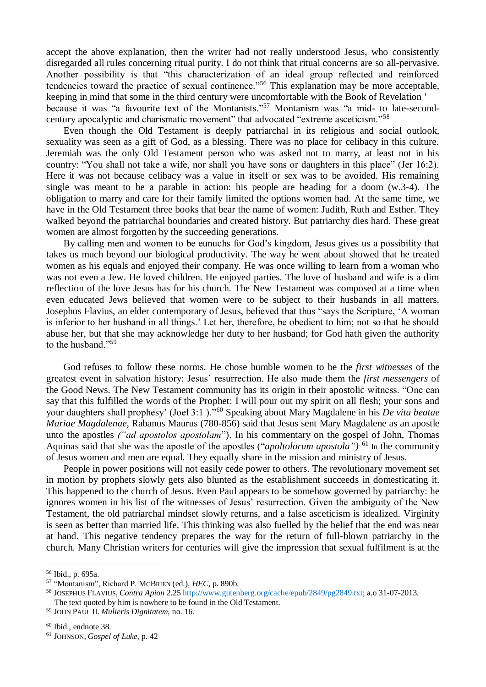accept the above explanation, then the writer had not really understood Jesus, who consistently disregarded all rules concerning ritual purity. I do not think that ritual concerns are so all-pervasive. Another possibility is that "this characterization of an ideal group reflected and reinforced tendencies toward the practice of sexual continence."<sup>56</sup> This explanation may be more acceptable, keeping in mind that some in the third century were uncomfortable with the Book of Revelation ' because it was "a favourite text of the Montanists."<sup>57</sup> Montanism was "a mid- to late-secondcentury apocalyptic and charismatic movement" that advocated "extreme asceticism."<sup>58</sup>

Even though the Old Testament is deeply patriarchal in its religious and social outlook, sexuality was seen as a gift of God, as a blessing. There was no place for celibacy in this culture. Jeremiah was the only Old Testament person who was asked not to marry, at least not in his country: "You shall not take a wife, nor shall you have sons or daughters in this place" (Jer 16:2). Here it was not because celibacy was a value in itself or sex was to be avoided. His remaining single was meant to be a parable in action: his people are heading for a doom (w.3-4). The obligation to marry and care for their family limited the options women had. At the same time, we have in the Old Testament three books that bear the name of women: Judith, Ruth and Esther. They walked beyond the patriarchal boundaries and created history. But patriarchy dies hard. These great women are almost forgotten by the succeeding generations.

By calling men and women to be eunuchs for God's kingdom, Jesus gives us a possibility that takes us much beyond our biological productivity. The way he went about showed that he treated women as his equals and enjoyed their company. He was once willing to learn from a woman who was not even a Jew. He loved children. He enjoyed parties. The love of husband and wife is a dim reflection of the love Jesus has for his church. The New Testament was composed at a time when even educated Jews believed that women were to be subject to their husbands in all matters. Josephus Flavius, an elder contemporary of Jesus, believed that thus "says the Scripture, 'A woman is inferior to her husband in all things.' Let her, therefore, be obedient to him; not so that he should abuse her, but that she may acknowledge her duty to her husband; for God hath given the authority to the husband."<sup>59</sup>

God refuses to follow these norms. He chose humble women to be the *first witnesses* of the greatest event in salvation history: Jesus' resurrection. He also made them the *first messengers* of the Good News. The New Testament community has its origin in their apostolic witness. "One can say that this fulfilled the words of the Prophet: I will pour out my spirit on all flesh; your sons and your daughters shall prophesy' (Joel 3:1 )."<sup>60</sup> Speaking about Mary Magdalene in his *De vita beatae Mariae Magdalenae,* Rabanus Maurus (780-856) said that Jesus sent Mary Magdalene as an apostle unto the apostles *("ad apostolos apostolam*"). In his commentary on the gospel of John, Thomas Aquinas said that she was the apostle of the apostles ("*apoltolorum apostola*")<sup>61</sup> In the community of Jesus women and men are equal. They equally share in the mission and ministry of Jesus.

People in power positions will not easily cede power to others. The revolutionary movement set in motion by prophets slowly gets also blunted as the establishment succeeds in domesticating it. This happened to the church of Jesus. Even Paul appears to be somehow governed by patriarchy: he ignores women in his list of the witnesses of Jesus' resurrection. Given the ambiguity of the New Testament, the old patriarchal mindset slowly returns, and a false asceticism is idealized. Virginity is seen as better than married life. This thinking was also fuelled by the belief that the end was near at hand. This negative tendency prepares the way for the return of full-blown patriarchy in the church. Many Christian writers for centuries will give the impression that sexual fulfilment is at the

<sup>56</sup> Ibid., p. 695a.

<sup>57</sup> "Montanism", Richard P. MCBRIEN (ed.), *HEC,* p. 890b.

<sup>58</sup> JOSEPHUS FLAVIUS, *Contra Apion* 2.25 [http://www.gutenberg.org/cache/epub/2849/pg2849.txt;](http://www.gutenberg.org/cache/epub/2849/pg2849.txt) a.o 31-07-2013. The text quoted by him is nowhere to be found in the Old Testament.

<sup>59</sup> JOHN PAUL II. *Mulieris Dignitatem,* no. 16.

<sup>60</sup> Ibid., endnote 38.

<sup>61</sup> JOHNSON, *Gospel of Luke,* p. 42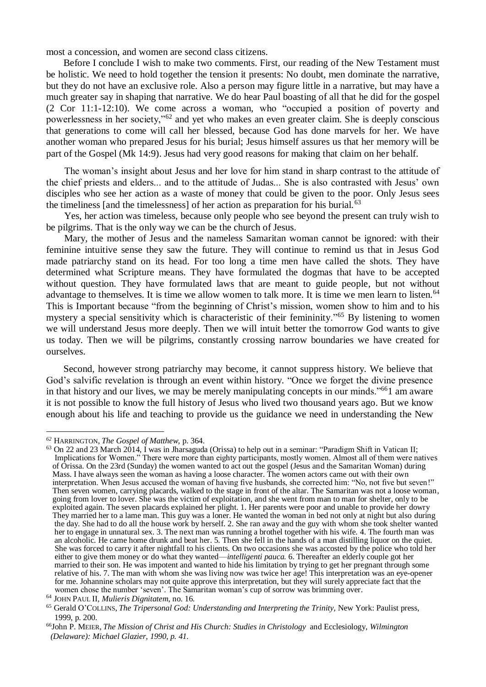most a concession, and women are second class citizens.

Before I conclude I wish to make two comments. First, our reading of the New Testament must be holistic. We need to hold together the tension it presents: No doubt, men dominate the narrative, but they do not have an exclusive role. Also a person may figure little in a narrative, but may have a much greater say in shaping that narrative. We do hear Paul boasting of all that he did for the gospel (2 Cor 11:1-12:10). We come across a woman, who "occupied a position of poverty and powerlessness in her society,"<sup>62</sup> and yet who makes an even greater claim. She is deeply conscious that generations to come will call her blessed, because God has done marvels for her. We have another woman who prepared Jesus for his burial; Jesus himself assures us that her memory will be part of the Gospel (Mk 14:9). Jesus had very good reasons for making that claim on her behalf.

The woman's insight about Jesus and her love for him stand in sharp contrast to the attitude of the chief priests and elders... and to the attitude of Judas... She is also contrasted with Jesus' own disciples who see her action as a waste of money that could be given to the poor. Only Jesus sees the timeliness [and the timelessness] of her action as preparation for his burial.<sup>63</sup>

Yes, her action was timeless, because only people who see beyond the present can truly wish to be pilgrims. That is the only way we can be the church of Jesus.

Mary, the mother of Jesus and the nameless Samaritan woman cannot be ignored: with their feminine intuitive sense they saw the future. They will continue to remind us that in Jesus God made patriarchy stand on its head. For too long a time men have called the shots. They have determined what Scripture means. They have formulated the dogmas that have to be accepted without question. They have formulated laws that are meant to guide people, but not without advantage to themselves. It is time we allow women to talk more. It is time we men learn to listen.<sup>64</sup> This is Important because "from the beginning of Christ's mission, women show to him and to his mystery a special sensitivity which is characteristic of their femininity."<sup>65</sup> By listening to women we will understand Jesus more deeply. Then we will intuit better the tomorrow God wants to give us today. Then we will be pilgrims, constantly crossing narrow boundaries we have created for ourselves.

Second, however strong patriarchy may become, it cannot suppress history. We believe that God's salvific revelation is through an event within history. "Once we forget the divine presence in that history and our lives, we may be merely manipulating concepts in our minds."<sup>66</sup>1 am aware it is not possible to know the full history of Jesus who lived two thousand years ago. But we know enough about his life and teaching to provide us the guidance we need in understanding the New

*<sup>62</sup>* HARRINGTON, *The Gospel of Matthew,* p. 364.

<sup>&</sup>lt;sup>63</sup> On 22 and 23 March 2014, I was in Jharsaguda (Orissa) to help out in a seminar: "Paradigm Shift in Vatican II; Implications for Women." There were more than eighty participants, mostly women. Almost all of them were natives of Orissa. On the 23rd (Sunday) the women wanted to act out the gospel (Jesus and the Samaritan Woman) during Mass. I have always seen the woman as having a loose character. The women actors came out with their own interpretation. When Jesus accused the woman of having five husbands, she corrected him: "No, not five but seven!" Then seven women, carrying placards, walked to the stage in front of the altar. The Samaritan was not a loose woman, going from lover to lover. She was the victim of exploitation, and she went from man to man for shelter, only to be exploited again. The seven placards explained her plight. 1. Her parents were poor and unable to provide her dowry They married her to a lame man. This guy was a loner. He wanted the woman in bed not only at night but also during the day. She had to do all the house work by herself. 2. She ran away and the guy with whom she took shelter wanted her to engage in unnatural sex. 3. The next man was running a brothel together with his wife. 4. The fourth man was an alcoholic. He came home drunk and beat her. 5. Then she fell in the hands of a man distilling liquor on the quiet. She was forced to carry it after nightfall to his clients. On two occasions she was accosted by the police who told her either to give them money or do what they wanted—*intelligenti pauca.* 6. Thereafter an elderly couple got her married to their son. He was impotent and wanted to hide his limitation by trying to get her pregnant through some relative of his. 7. The man with whom she was living now was twice her age! This interpretation was an eye-opener for me. Johannine scholars may not quite approve this interpretation, but they will surely appreciate fact that the women chose the number 'seven'. The Samaritan woman's cup of sorrow was brimming over.

<sup>64</sup> JOHN PAUL II*, Mulieris Dignitatem*, no. 16.

<sup>65</sup> Gerald O'COLLINS, *The Tripersonal God: Understanding and Interpreting the Trinity,* New York: Paulist press, 1999, p. 200.

<sup>66</sup>John P. MEIER, *The Mission of Christ and His Church: Studies in Christology* and Ecclesiology, *Wilmington (Delaware): Michael Glazier, 1990, p. 41.*